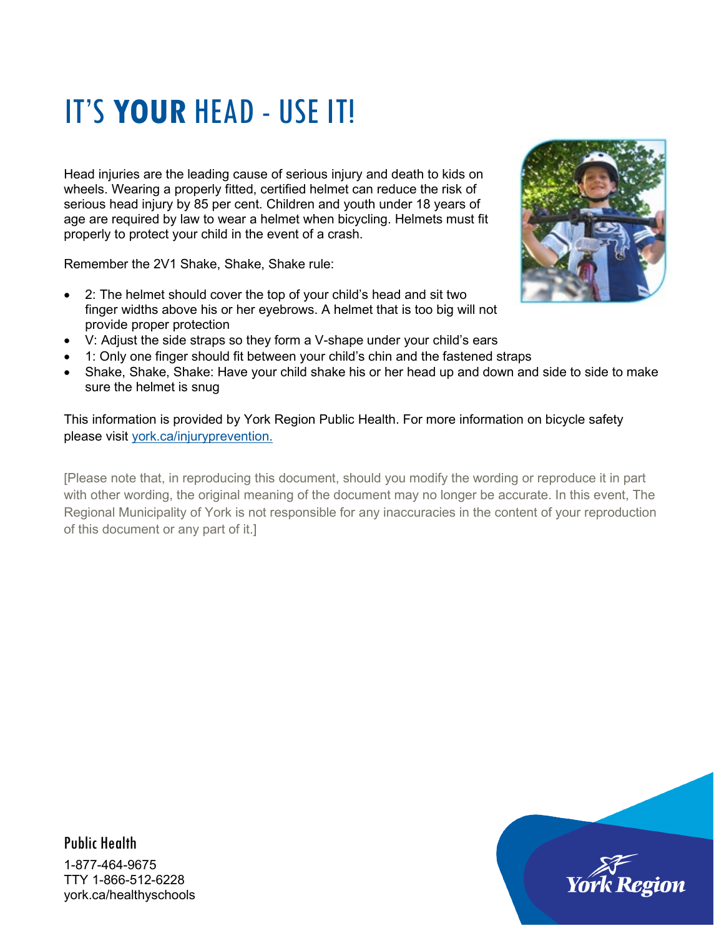## IT'S **YOUR** HEAD - USE IT!

Head injuries are the leading cause of serious injury and death to kids on wheels. Wearing a properly fitted, certified helmet can reduce the risk of serious head injury by 85 per cent. Children and youth under 18 years of age are required by law to wear a helmet when bicycling. Helmets must fit properly to protect your child in the event of a crash.

Remember the 2V1 Shake, Shake, Shake rule:

- 2: The helmet should cover the top of your child's head and sit two finger widths above his or her eyebrows. A helmet that is too big will not provide proper protection
- V: Adjust the side straps so they form a V-shape under your child's ears
- 1: Only one finger should fit between your child's chin and the fastened straps
- Shake, Shake, Shake: Have your child shake his or her head up and down and side to side to make sure the helmet is snug

This information is provided by York Region Public Health. For more information on bicycle safety please visit [york.ca/injuryprevention.](http://www.york.ca/injuryprevention)

[Please note that, in reproducing this document, should you modify the wording or reproduce it in part with other wording, the original meaning of the document may no longer be accurate. In this event, The Regional Municipality of York is not responsible for any inaccuracies in the content of your reproduction of this document or any part of it.]



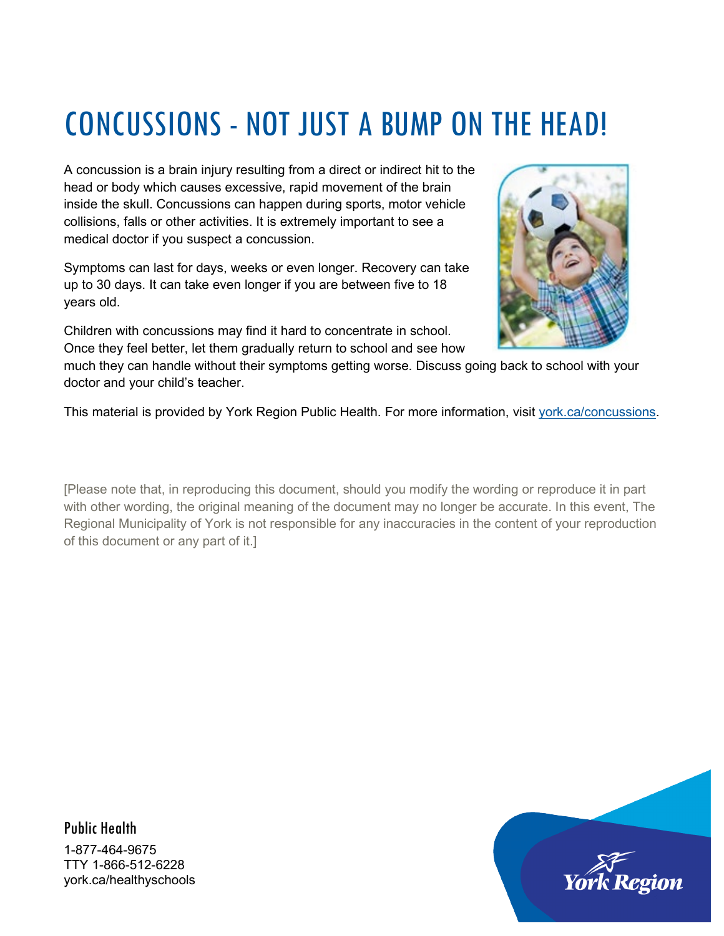### CONCUSSIONS - NOT JUST A BUMP ON THE HEAD!

A concussion is a brain injury resulting from a direct or indirect hit to the head or body which causes excessive, rapid movement of the brain inside the skull. Concussions can happen during sports, motor vehicle collisions, falls or other activities. It is extremely important to see a medical doctor if you suspect a concussion.

Symptoms can last for days, weeks or even longer. Recovery can take up to 30 days. It can take even longer if you are between five to 18 years old.

Children with concussions may find it hard to concentrate in school. Once they feel better, let them gradually return to school and see how



much they can handle without their symptoms getting worse. Discuss going back to school with your doctor and your child's teacher.

This material is provided by York Region Public Health. For more information, visit [york.ca/concussions.](http://york.ca/concussions)

[Please note that, in reproducing this document, should you modify the wording or reproduce it in part with other wording, the original meaning of the document may no longer be accurate. In this event, The Regional Municipality of York is not responsible for any inaccuracies in the content of your reproduction of this document or any part of it.]

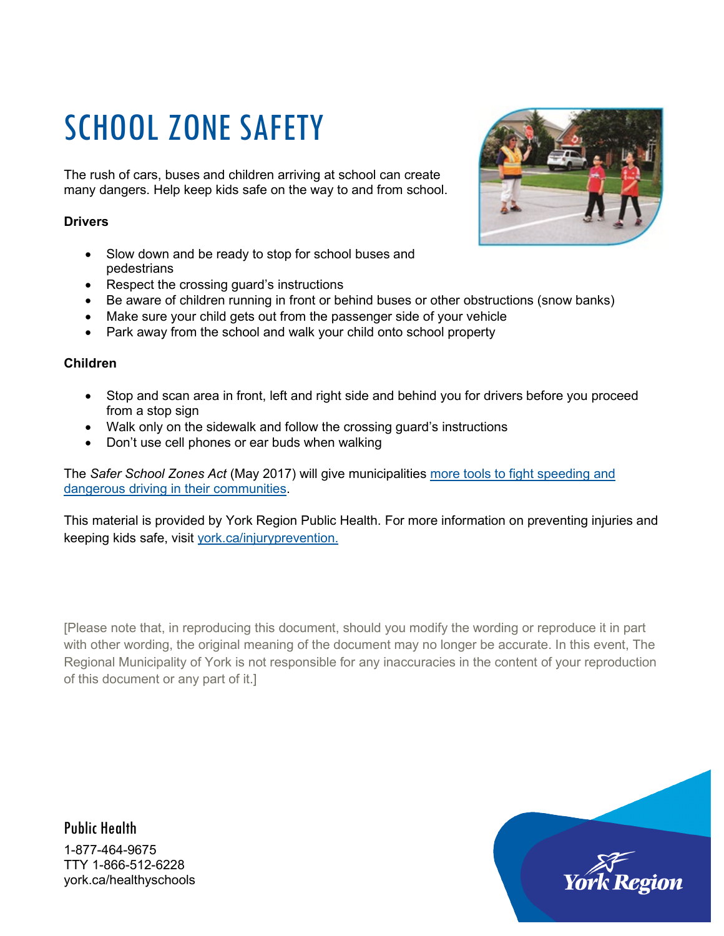# SCHOOL ZONE SAFETY

The rush of cars, buses and children arriving at school can create many dangers. Help keep kids safe on the way to and from school.

#### **Drivers**

- Slow down and be ready to stop for school buses and pedestrians
- Respect the crossing guard's instructions
- Be aware of children running in front or behind buses or other obstructions (snow banks)
- Make sure your child gets out from the passenger side of your vehicle
- Park away from the school and walk your child onto school property

#### **Children**

- Stop and scan area in front, left and right side and behind you for drivers before you proceed from a stop sign
- Walk only on the sidewalk and follow the crossing guard's instructions
- Don't use cell phones or ear buds when walking

The *Safer School Zones Act* (May 2017) will give municipalities [more tools to fight speeding and](https://news.ontario.ca/mto/en/2017/5/ontario-passes-legislation-to-keep-kids-safe-on-local-roads.html)  [dangerous driving in their communities.](https://news.ontario.ca/mto/en/2017/5/ontario-passes-legislation-to-keep-kids-safe-on-local-roads.html)

This material is provided by York Region Public Health. For more information on preventing injuries and keeping kids safe, visit [york.ca/injuryprevention.](http://www.york.ca/injuryprevention)

[Please note that, in reproducing this document, should you modify the wording or reproduce it in part with other wording, the original meaning of the document may no longer be accurate. In this event, The Regional Municipality of York is not responsible for any inaccuracies in the content of your reproduction of this document or any part of it.]



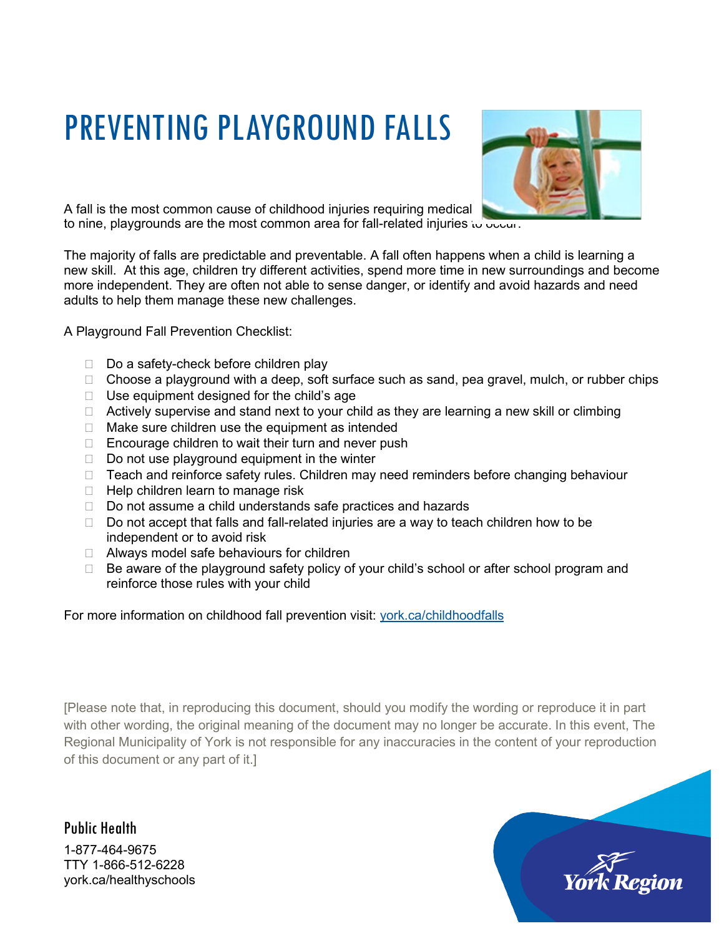# PREVENTING PLAYGROUND FALLS



A fall is the most common cause of childhood injuries requiring medical to nine, playgrounds are the most common area for fall-related injuries to occur.

The majority of falls are predictable and preventable. A fall often happens when a child is learning a new skill. At this age, children try different activities, spend more time in new surroundings and become more independent. They are often not able to sense danger, or identify and avoid hazards and need adults to help them manage these new challenges.

A Playground Fall Prevention Checklist:

- Do a safety-check before children play
- $\Box$  Choose a playground with a deep, soft surface such as sand, pea gravel, mulch, or rubber chips
- $\Box$  Use equipment designed for the child's age
- $\Box$  Actively supervise and stand next to your child as they are learning a new skill or climbing
- $\Box$  Make sure children use the equipment as intended
- $\Box$  Encourage children to wait their turn and never push
- $\Box$  Do not use playground equipment in the winter
- $\Box$  Teach and reinforce safety rules. Children may need reminders before changing behaviour
- $\Box$  Help children learn to manage risk
- □ Do not assume a child understands safe practices and hazards
- $\Box$  Do not accept that falls and fall-related injuries are a way to teach children how to be independent or to avoid risk
- $\Box$  Always model safe behaviours for children
- $\Box$  Be aware of the playground safety policy of your child's school or after school program and reinforce those rules with your child

For more information on childhood fall prevention visit: [york.ca/childhoodfalls](http://www.york.ca/childhoodfalls)

[Please note that, in reproducing this document, should you modify the wording or reproduce it in part with other wording, the original meaning of the document may no longer be accurate. In this event, The Regional Municipality of York is not responsible for any inaccuracies in the content of your reproduction of this document or any part of it.]